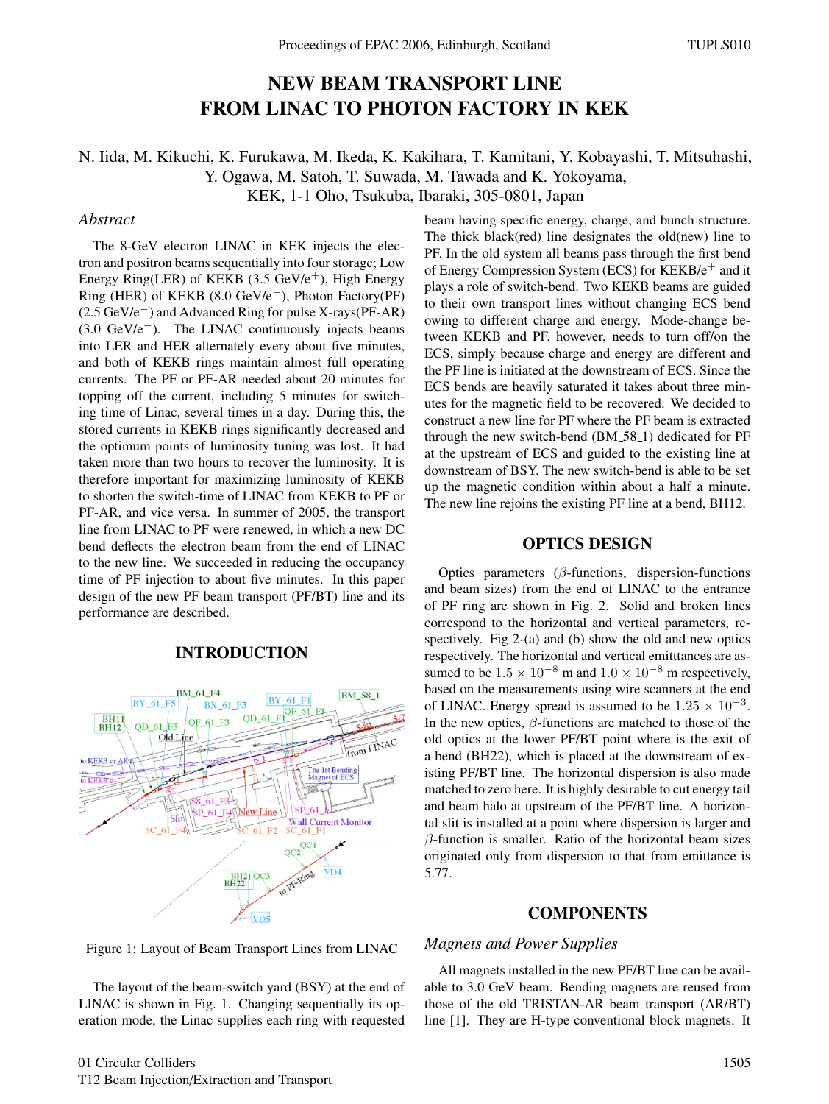# NEW BEAM TRANSPORT LINE FROM LINAC TO PHOTON FACTORY IN KEK

# N. Iida, M. Kikuchi, K. Furukawa, M. Ikeda, K. Kakihara, T. Kamitani, Y. Kobayashi, T. Mitsuhashi, Y. Ogawa, M. Satoh, T. Suwada, M. Tawada and K. Yokoyama, KEK, 1-1 Oho, Tsukuba, Ibaraki, 305-0801, Japan

## *Abstract*

The 8-GeV electron LINAC in KEK injects the electron and positron beams sequentially into four storage; Low Energy Ring(LER) of KEKB  $(3.5 \text{ GeV}/e^+)$ , High Energy Ring (HER) of KEKB (8.0 GeV/e−), Photon Factory(PF) (2.5 GeV/e−) and Advanced Ring for pulse X-rays(PF-AR) (3.0 GeV/e−). The LINAC continuously injects beams into LER and HER alternately every about five minutes, and both of KEKB rings maintain almost full operating currents. The PF or PF-AR needed about 20 minutes for topping off the current, including 5 minutes for switching time of Linac, several times in a day. During this, the stored currents in KEKB rings significantly decreased and the optimum points of luminosity tuning was lost. It had taken more than two hours to recover the luminosity. It is therefore important for maximizing luminosity of KEKB to shorten the switch-time of LINAC from KEKB to PF or PF-AR, and vice versa. In summer of 2005, the transport line from LINAC to PF were renewed, in which a new DC bend deflects the electron beam from the end of LINAC to the new line. We succeeded in reducing the occupancy time of PF injection to about five minutes. In this paper design of the new PF beam transport (PF/BT) line and its performance are described.

## INTRODUCTION



beam having specific energy, charge, and bunch structure. The thick black(red) line designates the old(new) line to PF. In the old system all beams pass through the first bend of Energy Compression System (ECS) for  $KEKB/e^+$  and it plays a role of switch-bend. Two KEKB beams are guided to their own transport lines without changing ECS bend owing to different charge and energy. Mode-change between KEKB and PF, however, needs to turn off/on the ECS, simply because charge and energy are different and the PF line is initiated at the downstream of ECS. Since the ECS bends are heavily saturated it takes about three minutes for the magnetic field to be recovered. We decided to construct a new line for PF where the PF beam is extracted through the new switch-bend (BM 58 1) dedicated for PF at the upstream of ECS and guided to the existing line at downstream of BSY. The new switch-bend is able to be set up the magnetic condition within about a half a minute. The new line rejoins the existing PF line at a bend, BH12.

## OPTICS DESIGN

Optics parameters  $(\beta$ -functions, dispersion-functions and beam sizes) from the end of LINAC to the entrance of PF ring are shown in Fig. 2. Solid and broken lines correspond to the horizontal and vertical parameters, respectively. Fig 2-(a) and (b) show the old and new optics respectively. The horizontal and vertical emitttances are assumed to be  $1.5 \times 10^{-8}$  m and  $1.0 \times 10^{-8}$  m respectively, based on the measurements using wire scanners at the end of LINAC. Energy spread is assumed to be  $1.25 \times 10^{-3}$ . In the new optics,  $\beta$ -functions are matched to those of the old optics at the lower PF/BT point where is the exit of a bend (BH22), which is placed at the downstream of existing PF/BT line. The horizontal dispersion is also made matched to zero here. It is highly desirable to cut energy tail and beam halo at upstream of the PF/BT line. A horizontal slit is installed at a point where dispersion is larger and  $\beta$ -function is smaller. Ratio of the horizontal beam sizes originated only from dispersion to that from emittance is 5.77.

#### **COMPONENTS**

#### *Magnets and Power Supplies*

Figure 1: Layout of Beam Transport Lines from LINAC

The layout of the beam-switch yard (BSY) at the end of LINAC is shown in Fig. 1. Changing sequentially its operation mode, the Linac supplies each ring with requested

All magnets installed in the new PF/BT line can be available to 3.0 GeV beam. Bending magnets are reused from those of the old TRISTAN-AR beam transport (AR/BT) line [1]. They are H-type conventional block magnets. It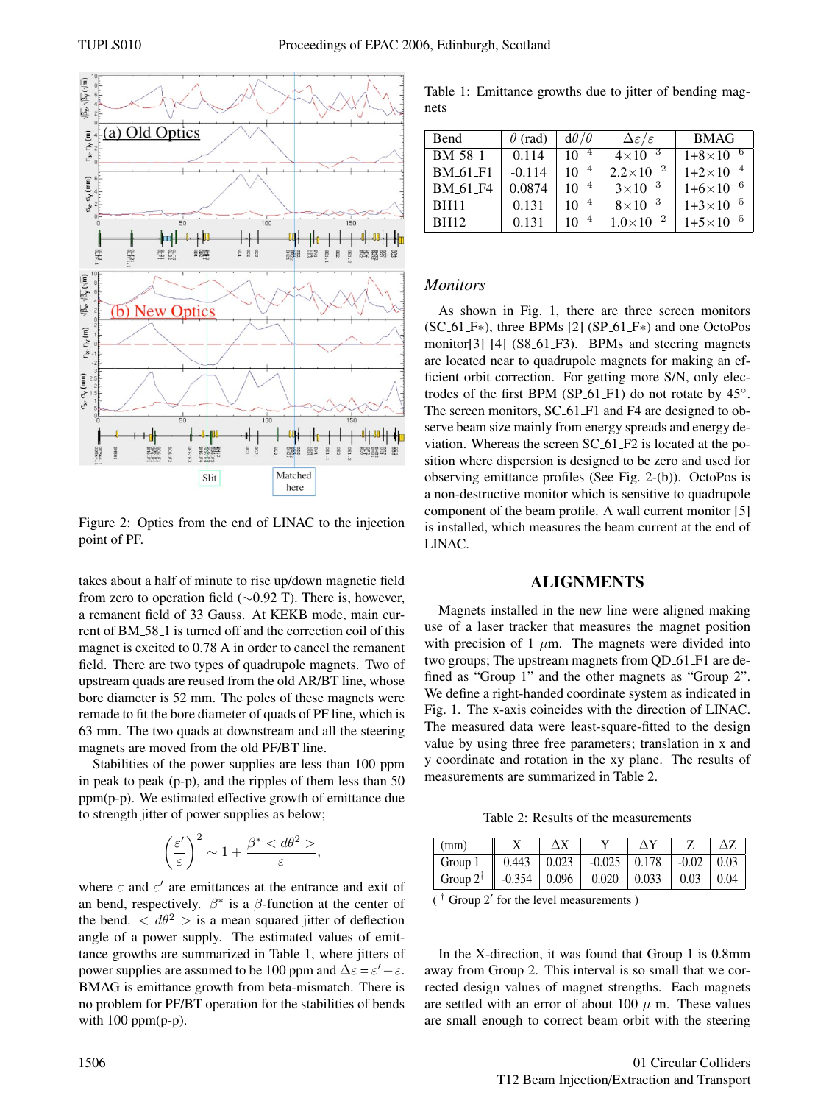

Figure 2: Optics from the end of LINAC to the injection point of PF.

takes about a half of minute to rise up/down magnetic field from zero to operation field (∼0.92 T). There is, however, a remanent field of 33 Gauss. At KEKB mode, main current of BM 58 1 is turned off and the correction coil of this magnet is excited to 0.78 A in order to cancel the remanent field. There are two types of quadrupole magnets. Two of upstream quads are reused from the old AR/BT line, whose bore diameter is 52 mm. The poles of these magnets were remade to fit the bore diameter of quads of PF line, which is 63 mm. The two quads at downstream and all the steering magnets are moved from the old PF/BT line.

Stabilities of the power supplies are less than 100 ppm in peak to peak (p-p), and the ripples of them less than 50  $ppm(p-p)$ . We estimated effective growth of emittance due to strength jitter of power supplies as below;

$$
\left(\frac{\varepsilon'}{\varepsilon}\right)^2 \sim 1 + \frac{\beta^* < d\theta^2 >}{\varepsilon},
$$

where  $\varepsilon$  and  $\varepsilon'$  are emittances at the entrance and exit of an bend, respectively.  $\beta^*$  is a  $\beta$ -function at the center of the bend.  $\langle d\theta^2 \rangle$  is a mean squared jitter of deflection angle of a power supply. The estimated values of emittance growths are summarized in Table 1, where jitters of power supplies are assumed to be 100 ppm and  $\Delta \varepsilon = \varepsilon' - \varepsilon$ . BMAG is emittance growth from beta-mismatch. There is no problem for PF/BT operation for the stabilities of bends with 100 ppm(p-p).

Table 1: Emittance growths due to jitter of bending magnets

| Bend                 | $\theta$ (rad) | $d\theta/\theta$ | $\Delta \varepsilon/\varepsilon$ | <b>BMAG</b>        |
|----------------------|----------------|------------------|----------------------------------|--------------------|
| BM 58 1              | 0.114          | $10^{-4}$        | $4 \times 10^{-3}$               | $1+8\times10^{-6}$ |
| <b>BM_61_F1</b>      | $-0.114$       | $10^{-4}$        | $2.2\times10^{-2}$               | $1+2\times10^{-4}$ |
| BM <sub>-61-F4</sub> | 0.0874         | $10^{-4}$        | $3 \times 10^{-3}$               | $1+6\times10^{-6}$ |
| <b>BH11</b>          | 0.131          | $10^{-4}$        | $8\times10^{-3}$                 | $1+3\times10^{-5}$ |
| <b>BH12</b>          | 0.131          | $10^{-4}$        | $1.0\times10^{-2}$               | $1+5\times10^{-5}$ |

### *Monitors*

As shown in Fig. 1, there are three screen monitors  $(SC_61_F*)$ , three BPMs [2]  $(SP_61_F*)$  and one OctoPos monitor[3] [4] (S8\_61\_F3). BPMs and steering magnets are located near to quadrupole magnets for making an efficient orbit correction. For getting more S/N, only electrodes of the first BPM (SP\_61\_F1) do not rotate by  $45^\circ$ . The screen monitors, SC<sub>-61</sub>-F<sub>1</sub> and F<sub>4</sub> are designed to observe beam size mainly from energy spreads and energy deviation. Whereas the screen SC 61 F2 is located at the position where dispersion is designed to be zero and used for observing emittance profiles (See Fig. 2-(b)). OctoPos is a non-destructive monitor which is sensitive to quadrupole component of the beam profile. A wall current monitor [5] is installed, which measures the beam current at the end of LINAC.

## ALIGNMENTS

Magnets installed in the new line were aligned making use of a laser tracker that measures the magnet position with precision of 1  $\mu$ m. The magnets were divided into two groups; The upstream magnets from QD\_61\_F1 are defined as "Group 1" and the other magnets as "Group 2". We define a right-handed coordinate system as indicated in Fig. 1. The x-axis coincides with the direction of LINAC. The measured data were least-square-fitted to the design value by using three free parameters; translation in x and y coordinate and rotation in the xy plane. The results of measurements are summarized in Table 2.

Table 2: Results of the measurements

| $\mid$ (mm)                                                           |  |                                                                                     |  |  |
|-----------------------------------------------------------------------|--|-------------------------------------------------------------------------------------|--|--|
| $\sqrt{G}$ Group 1                                                    |  | $\vert$ 0.443 $\vert$ 0.023 $\vert$ -0.025 $\vert$ 0.178 $\vert$ -0.02 $\vert$ 0.03 |  |  |
| Group $2^{\dagger}$    -0.354   0.096    0.020   0.033    0.03   0.04 |  |                                                                                     |  |  |

 $($ <sup>T</sup> Group 2<sup>'</sup> for the level measurements  $)$ 

In the X-direction, it was found that Group 1 is 0.8mm away from Group 2. This interval is so small that we corrected design values of magnet strengths. Each magnets are settled with an error of about 100  $\mu$  m. These values are small enough to correct beam orbit with the steering